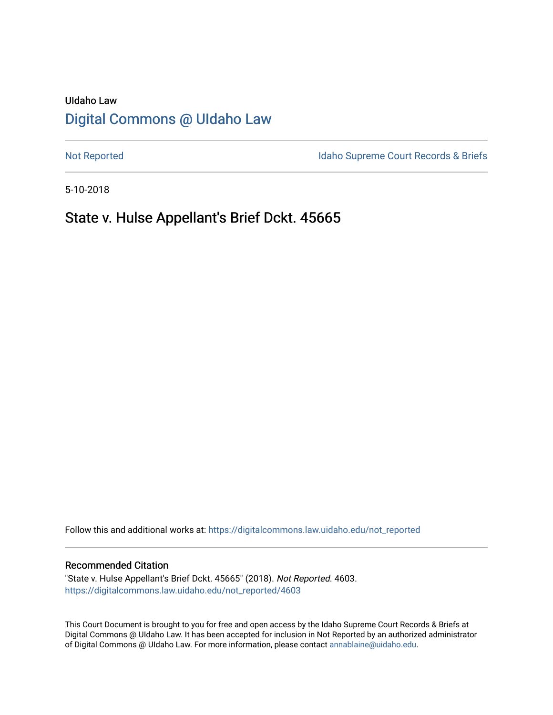# UIdaho Law [Digital Commons @ UIdaho Law](https://digitalcommons.law.uidaho.edu/)

[Not Reported](https://digitalcommons.law.uidaho.edu/not_reported) **Idaho Supreme Court Records & Briefs** 

5-10-2018

# State v. Hulse Appellant's Brief Dckt. 45665

Follow this and additional works at: [https://digitalcommons.law.uidaho.edu/not\\_reported](https://digitalcommons.law.uidaho.edu/not_reported?utm_source=digitalcommons.law.uidaho.edu%2Fnot_reported%2F4603&utm_medium=PDF&utm_campaign=PDFCoverPages) 

### Recommended Citation

"State v. Hulse Appellant's Brief Dckt. 45665" (2018). Not Reported. 4603. [https://digitalcommons.law.uidaho.edu/not\\_reported/4603](https://digitalcommons.law.uidaho.edu/not_reported/4603?utm_source=digitalcommons.law.uidaho.edu%2Fnot_reported%2F4603&utm_medium=PDF&utm_campaign=PDFCoverPages)

This Court Document is brought to you for free and open access by the Idaho Supreme Court Records & Briefs at Digital Commons @ UIdaho Law. It has been accepted for inclusion in Not Reported by an authorized administrator of Digital Commons @ UIdaho Law. For more information, please contact [annablaine@uidaho.edu](mailto:annablaine@uidaho.edu).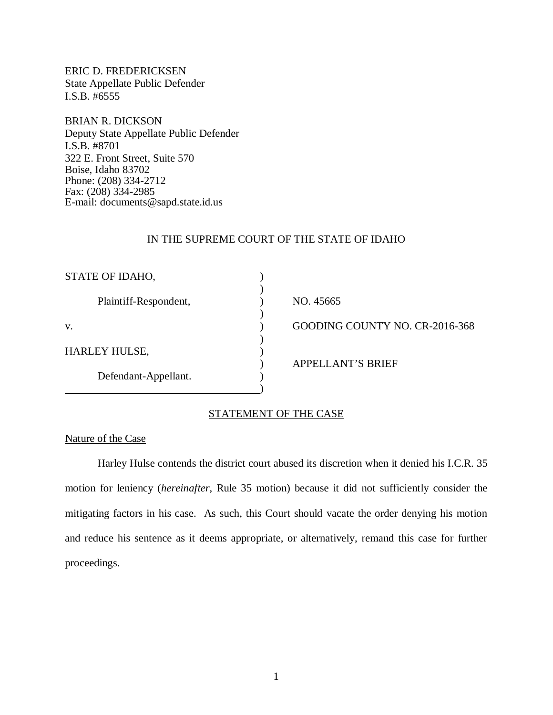ERIC D. FREDERICKSEN State Appellate Public Defender I.S.B. #6555

BRIAN R. DICKSON Deputy State Appellate Public Defender I.S.B. #8701 322 E. Front Street, Suite 570 Boise, Idaho 83702 Phone: (208) 334-2712 Fax: (208) 334-2985 E-mail: documents@sapd.state.id.us

## IN THE SUPREME COURT OF THE STATE OF IDAHO

| STATE OF IDAHO,       |                                |
|-----------------------|--------------------------------|
| Plaintiff-Respondent, | NO. 45665                      |
| v.                    | GOODING COUNTY NO. CR-2016-368 |
| <b>HARLEY HULSE,</b>  |                                |
| Defendant-Appellant.  | <b>APPELLANT'S BRIEF</b>       |

## STATEMENT OF THE CASE

## Nature of the Case

Harley Hulse contends the district court abused its discretion when it denied his I.C.R. 35 motion for leniency (*hereinafter*, Rule 35 motion) because it did not sufficiently consider the mitigating factors in his case. As such, this Court should vacate the order denying his motion and reduce his sentence as it deems appropriate, or alternatively, remand this case for further proceedings.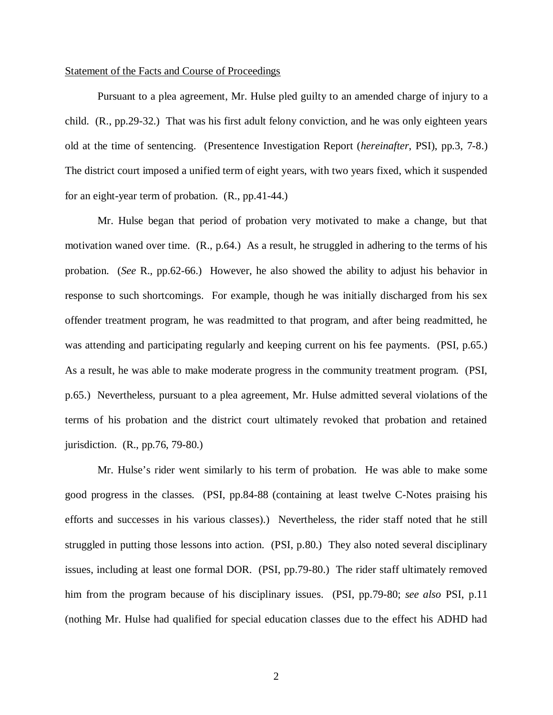#### Statement of the Facts and Course of Proceedings

Pursuant to a plea agreement, Mr. Hulse pled guilty to an amended charge of injury to a child. (R., pp.29-32.) That was his first adult felony conviction, and he was only eighteen years old at the time of sentencing. (Presentence Investigation Report (*hereinafter*, PSI), pp.3, 7-8.) The district court imposed a unified term of eight years, with two years fixed, which it suspended for an eight-year term of probation. (R., pp.41-44.)

Mr. Hulse began that period of probation very motivated to make a change, but that motivation waned over time. (R., p.64.) As a result, he struggled in adhering to the terms of his probation. (*See* R., pp.62-66.) However, he also showed the ability to adjust his behavior in response to such shortcomings. For example, though he was initially discharged from his sex offender treatment program, he was readmitted to that program, and after being readmitted, he was attending and participating regularly and keeping current on his fee payments. (PSI, p.65.) As a result, he was able to make moderate progress in the community treatment program. (PSI, p.65.) Nevertheless, pursuant to a plea agreement, Mr. Hulse admitted several violations of the terms of his probation and the district court ultimately revoked that probation and retained jurisdiction. (R., pp.76, 79-80.)

Mr. Hulse's rider went similarly to his term of probation. He was able to make some good progress in the classes. (PSI, pp.84-88 (containing at least twelve C-Notes praising his efforts and successes in his various classes).) Nevertheless, the rider staff noted that he still struggled in putting those lessons into action. (PSI, p.80.) They also noted several disciplinary issues, including at least one formal DOR. (PSI, pp.79-80.) The rider staff ultimately removed him from the program because of his disciplinary issues. (PSI, pp.79-80; *see also* PSI, p.11 (nothing Mr. Hulse had qualified for special education classes due to the effect his ADHD had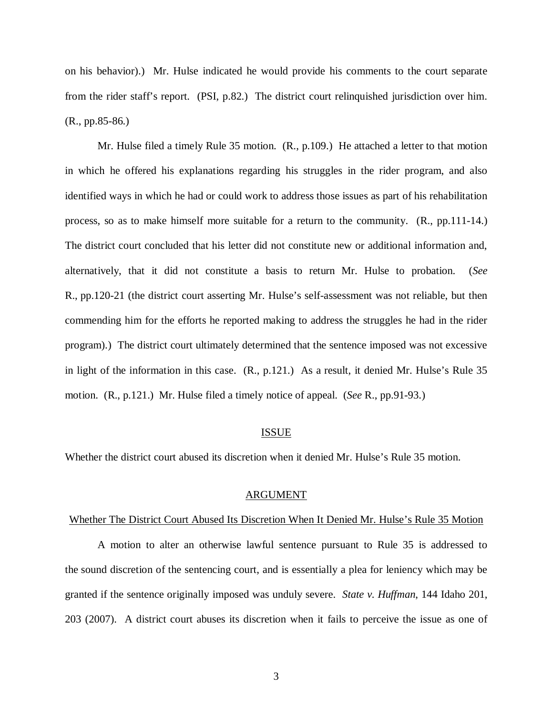on his behavior).) Mr. Hulse indicated he would provide his comments to the court separate from the rider staff's report. (PSI, p.82.) The district court relinquished jurisdiction over him. (R., pp.85-86.)

Mr. Hulse filed a timely Rule 35 motion. (R., p.109.) He attached a letter to that motion in which he offered his explanations regarding his struggles in the rider program, and also identified ways in which he had or could work to address those issues as part of his rehabilitation process, so as to make himself more suitable for a return to the community. (R., pp.111-14.) The district court concluded that his letter did not constitute new or additional information and, alternatively, that it did not constitute a basis to return Mr. Hulse to probation. (*See* R., pp.120-21 (the district court asserting Mr. Hulse's self-assessment was not reliable, but then commending him for the efforts he reported making to address the struggles he had in the rider program).) The district court ultimately determined that the sentence imposed was not excessive in light of the information in this case. (R., p.121.) As a result, it denied Mr. Hulse's Rule 35 motion. (R., p.121.) Mr. Hulse filed a timely notice of appeal. (*See* R., pp.91-93.)

#### ISSUE

Whether the district court abused its discretion when it denied Mr. Hulse's Rule 35 motion.

#### ARGUMENT

#### Whether The District Court Abused Its Discretion When It Denied Mr. Hulse's Rule 35 Motion

A motion to alter an otherwise lawful sentence pursuant to Rule 35 is addressed to the sound discretion of the sentencing court, and is essentially a plea for leniency which may be granted if the sentence originally imposed was unduly severe. *State v. Huffman*, 144 Idaho 201, 203 (2007). A district court abuses its discretion when it fails to perceive the issue as one of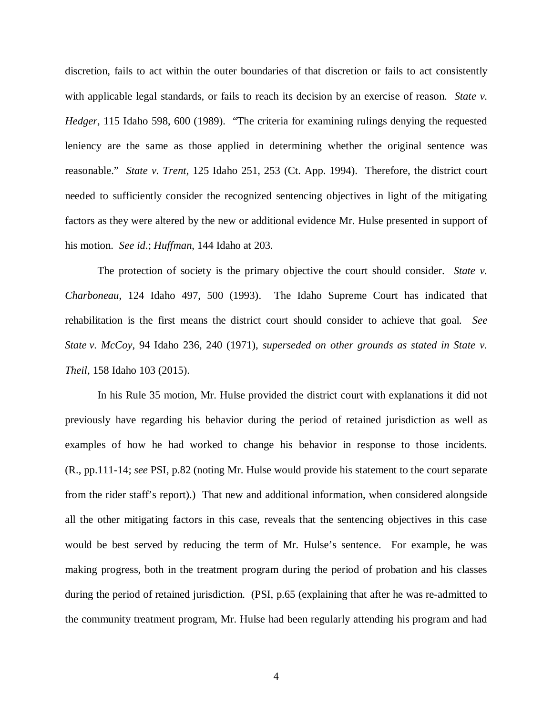discretion, fails to act within the outer boundaries of that discretion or fails to act consistently with applicable legal standards, or fails to reach its decision by an exercise of reason. *State v. Hedger*, 115 Idaho 598, 600 (1989). "The criteria for examining rulings denying the requested leniency are the same as those applied in determining whether the original sentence was reasonable." *State v. Trent*, 125 Idaho 251, 253 (Ct. App. 1994). Therefore, the district court needed to sufficiently consider the recognized sentencing objectives in light of the mitigating factors as they were altered by the new or additional evidence Mr. Hulse presented in support of his motion. *See id*.; *Huffman*, 144 Idaho at 203.

The protection of society is the primary objective the court should consider. *State v. Charboneau*, 124 Idaho 497, 500 (1993). The Idaho Supreme Court has indicated that rehabilitation is the first means the district court should consider to achieve that goal. *See State v. McCoy*, 94 Idaho 236, 240 (1971), *superseded on other grounds as stated in State v. Theil*, 158 Idaho 103 (2015).

In his Rule 35 motion, Mr. Hulse provided the district court with explanations it did not previously have regarding his behavior during the period of retained jurisdiction as well as examples of how he had worked to change his behavior in response to those incidents. (R., pp.111-14; *see* PSI, p.82 (noting Mr. Hulse would provide his statement to the court separate from the rider staff's report).) That new and additional information, when considered alongside all the other mitigating factors in this case, reveals that the sentencing objectives in this case would be best served by reducing the term of Mr. Hulse's sentence. For example, he was making progress, both in the treatment program during the period of probation and his classes during the period of retained jurisdiction. (PSI, p.65 (explaining that after he was re-admitted to the community treatment program, Mr. Hulse had been regularly attending his program and had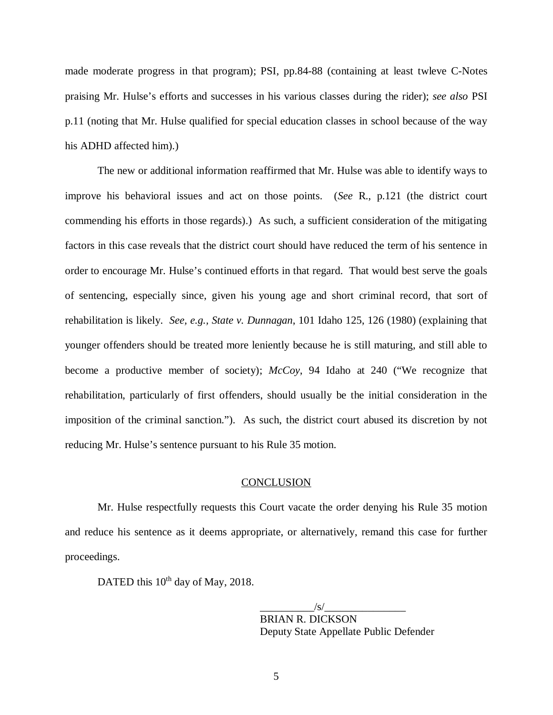made moderate progress in that program); PSI, pp.84-88 (containing at least twleve C-Notes praising Mr. Hulse's efforts and successes in his various classes during the rider); *see also* PSI p.11 (noting that Mr. Hulse qualified for special education classes in school because of the way his ADHD affected him).)

The new or additional information reaffirmed that Mr. Hulse was able to identify ways to improve his behavioral issues and act on those points. (*See* R., p.121 (the district court commending his efforts in those regards).) As such, a sufficient consideration of the mitigating factors in this case reveals that the district court should have reduced the term of his sentence in order to encourage Mr. Hulse's continued efforts in that regard. That would best serve the goals of sentencing, especially since, given his young age and short criminal record, that sort of rehabilitation is likely. *See, e.g., State v. Dunnagan*, 101 Idaho 125, 126 (1980) (explaining that younger offenders should be treated more leniently because he is still maturing, and still able to become a productive member of society); *McCoy*, 94 Idaho at 240 ("We recognize that rehabilitation, particularly of first offenders, should usually be the initial consideration in the imposition of the criminal sanction."). As such, the district court abused its discretion by not reducing Mr. Hulse's sentence pursuant to his Rule 35 motion.

### **CONCLUSION**

Mr. Hulse respectfully requests this Court vacate the order denying his Rule 35 motion and reduce his sentence as it deems appropriate, or alternatively, remand this case for further proceedings.

DATED this 10<sup>th</sup> day of May, 2018.

 $\frac{1}{s}$  /s/ $\frac{1}{s}$ BRIAN R. DICKSON Deputy State Appellate Public Defender